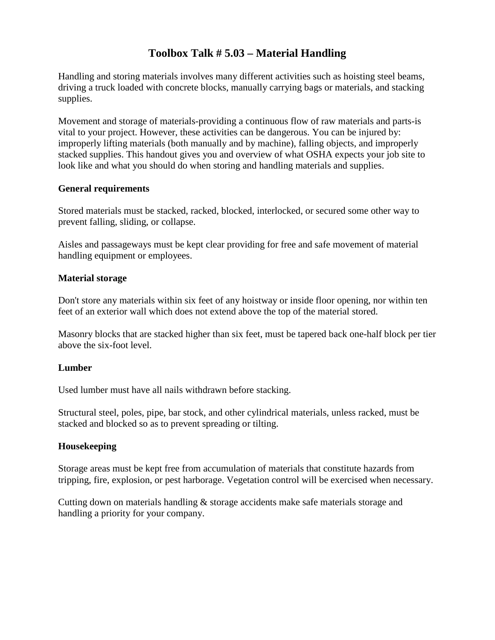## **Toolbox Talk # 5.03 – Material Handling**

Handling and storing materials involves many different activities such as hoisting steel beams, driving a truck loaded with concrete blocks, manually carrying bags or materials, and stacking supplies.

Movement and storage of materials-providing a continuous flow of raw materials and parts-is vital to your project. However, these activities can be dangerous. You can be injured by: improperly lifting materials (both manually and by machine), falling objects, and improperly stacked supplies. This handout gives you and overview of what OSHA expects your job site to look like and what you should do when storing and handling materials and supplies.

### **General requirements**

Stored materials must be stacked, racked, blocked, interlocked, or secured some other way to prevent falling, sliding, or collapse.

Aisles and passageways must be kept clear providing for free and safe movement of material handling equipment or employees.

### **Material storage**

Don't store any materials within six feet of any hoistway or inside floor opening, nor within ten feet of an exterior wall which does not extend above the top of the material stored.

Masonry blocks that are stacked higher than six feet, must be tapered back one-half block per tier above the six-foot level.

### **Lumber**

Used lumber must have all nails withdrawn before stacking.

Structural steel, poles, pipe, bar stock, and other cylindrical materials, unless racked, must be stacked and blocked so as to prevent spreading or tilting.

### **Housekeeping**

Storage areas must be kept free from accumulation of materials that constitute hazards from tripping, fire, explosion, or pest harborage. Vegetation control will be exercised when necessary.

Cutting down on materials handling & storage accidents make safe materials storage and handling a priority for your company.